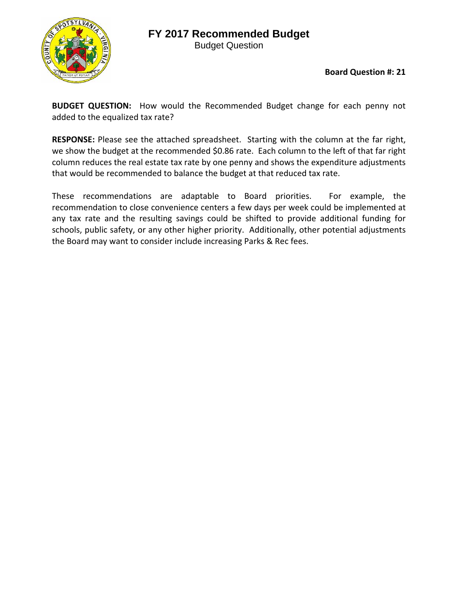## **FY 2017 Recommended Budget**



Budget Question

**Board Question #: 21**

**BUDGET QUESTION:** How would the Recommended Budget change for each penny not added to the equalized tax rate?

**RESPONSE:** Please see the attached spreadsheet. Starting with the column at the far right, we show the budget at the recommended \$0.86 rate. Each column to the left of that far right column reduces the real estate tax rate by one penny and shows the expenditure adjustments that would be recommended to balance the budget at that reduced tax rate.

These recommendations are adaptable to Board priorities. For example, the recommendation to close convenience centers a few days per week could be implemented at any tax rate and the resulting savings could be shifted to provide additional funding for schools, public safety, or any other higher priority. Additionally, other potential adjustments the Board may want to consider include increasing Parks & Rec fees.